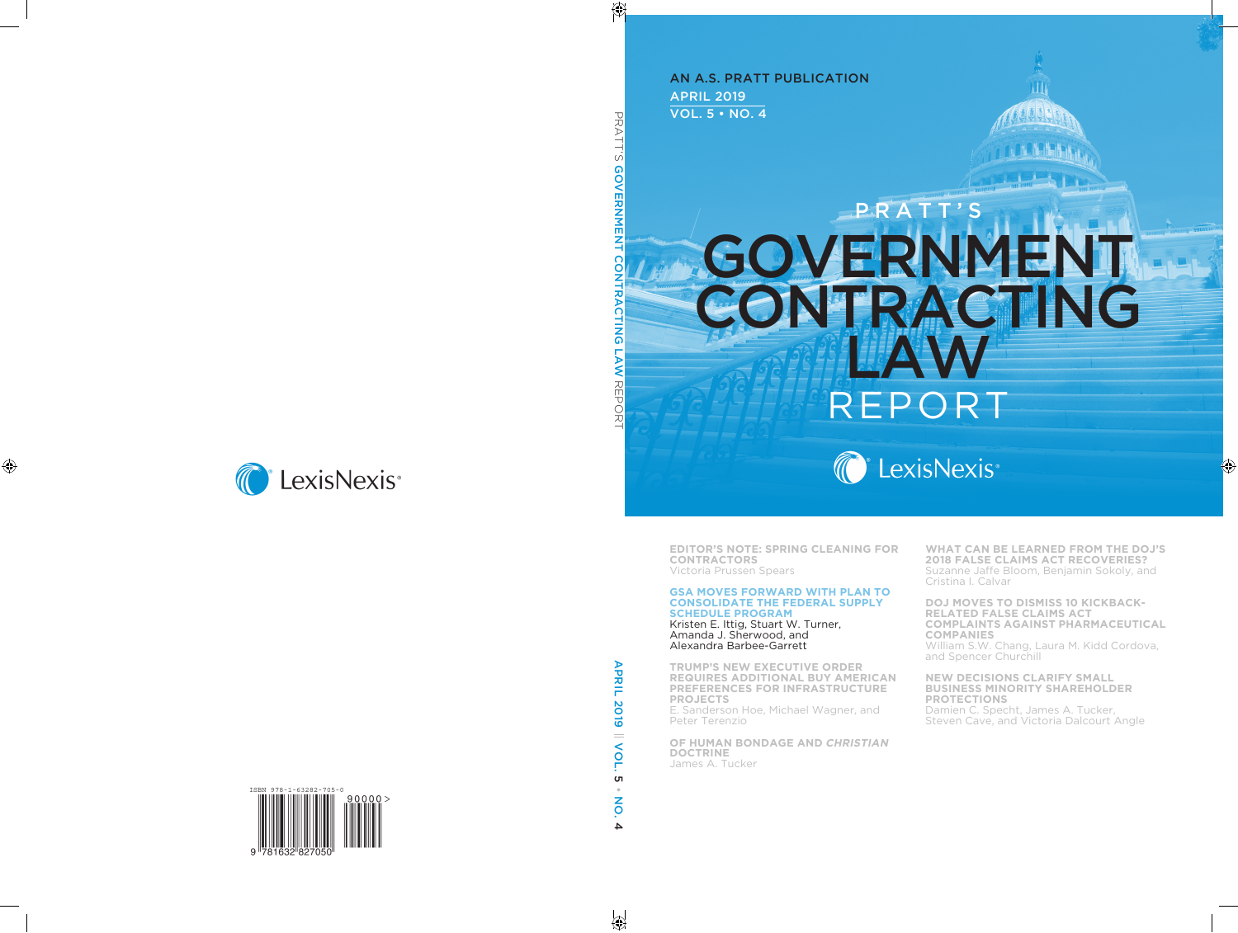APRIL 2019 VOL. 5 • NO. 4 AN A.S. PRATT PUBLICATION

# **GOVERNMENT** CONTRACTING LAW EPO PRATT'



**EDITOR'S NOTE: SPRING CLEANING FOR CONTRACTORS** Victoria Prussen Spears

#### **GSA MOVES FORWARD WITH PLAN TO CONSOLIDATE THE FEDERAL SUPPLY SCHEDULE PROGRAM** Kristen E. Ittig, Stuart W. Turner,

Amanda J. Sherwood, and Alexandra Barbee-Garrett

**TRUMP'S NEW EXECUTIVE ORDER REQUIRES ADDITIONAL BUY AMERICAN PREFERENCES FOR INFRASTRUCTURE PROJECTS** E. Sanderson Hoe, Michael Wagner, and Peter Terenzio

**OF HUMAN BONDAGE AND CHRISTIAN DOCTRINE** James A. Tucker

**WHAT CAN BE LEARNED FROM THE DOJ'S 2018 FALSE CLAIMS ACT RECOVERIES?** Suzanne Jaffe Bloom, Benjamin Sokoly, and Cristina I. Calvar

Ш

**DOJ MOVES TO DISMISS 10 KICKBACK-RELATED FALSE CLAIMS ACT COMPLAINTS AGAINST PHARMACEUTICAL COMPANIES** William S.W. Chang, Laura M. Kidd Cordova,

and Spencer Churchill

#### **NEW DECISIONS CLARIFY SMALL BUSINESS MINORITY SHAREHOLDER PROTECTIONS**

Damien C. Specht, James A. Tucker, Steven Cave, and Victoria Dalcourt Angle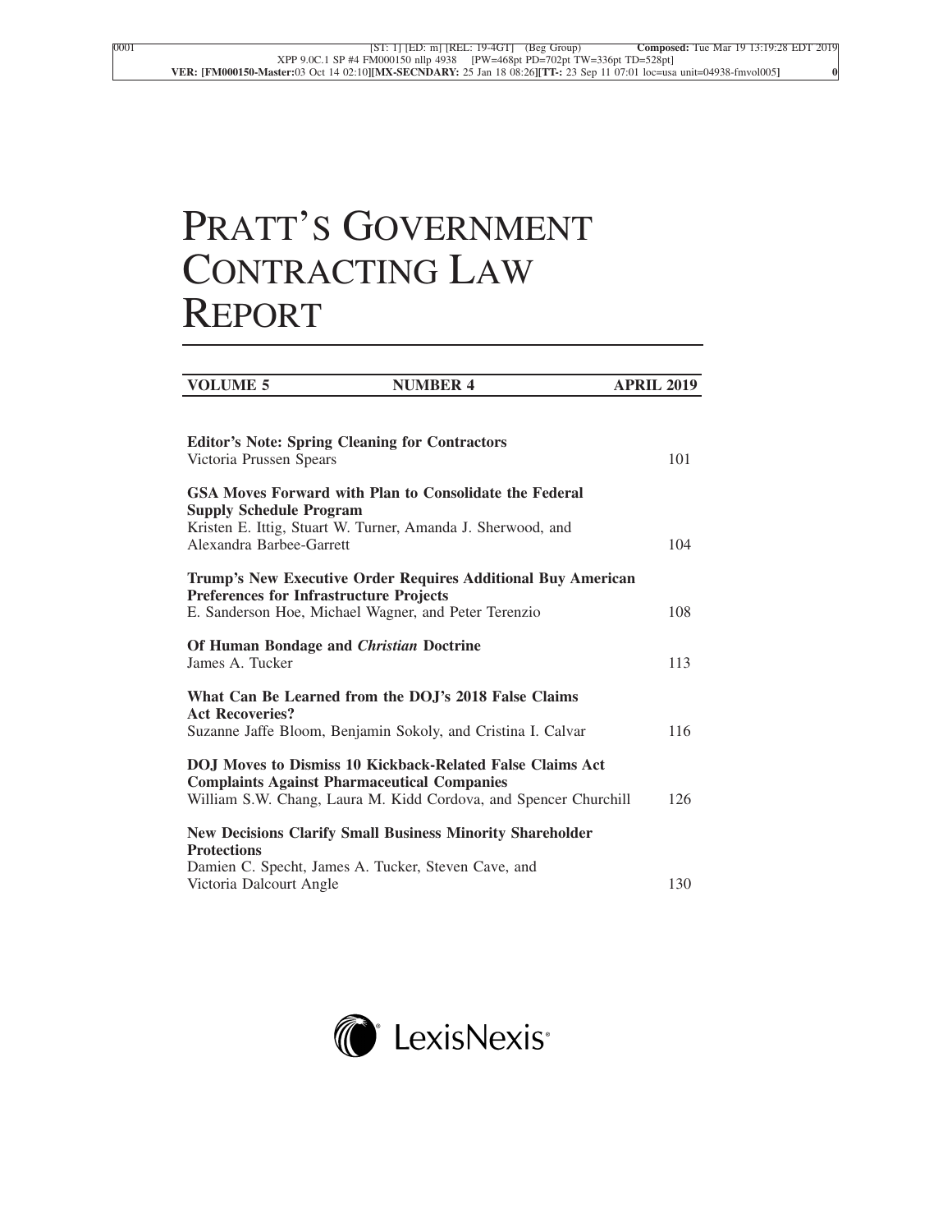## PRATT'S GOVERNMENT CONTRACTING LAW REPORT

| <b>VOLUME 5</b>                                                                  | <b>NUMBER 4</b>                                                                                                                      | <b>APRIL 2019</b> |
|----------------------------------------------------------------------------------|--------------------------------------------------------------------------------------------------------------------------------------|-------------------|
| <b>Editor's Note: Spring Cleaning for Contractors</b><br>Victoria Prussen Spears |                                                                                                                                      | 101               |
| <b>Supply Schedule Program</b><br>Alexandra Barbee-Garrett                       | GSA Moves Forward with Plan to Consolidate the Federal<br>Kristen E. Ittig, Stuart W. Turner, Amanda J. Sherwood, and                | 104               |
| <b>Preferences for Infrastructure Projects</b>                                   | Trump's New Executive Order Requires Additional Buy American<br>E. Sanderson Hoe, Michael Wagner, and Peter Terenzio                 | 108               |
| Of Human Bondage and <i>Christian</i> Doctrine<br>James A. Tucker                |                                                                                                                                      | 113               |
| <b>Act Recoveries?</b>                                                           | What Can Be Learned from the DOJ's 2018 False Claims<br>Suzanne Jaffe Bloom, Benjamin Sokoly, and Cristina I. Calvar                 | 116               |
| <b>Complaints Against Pharmaceutical Companies</b>                               | <b>DOJ</b> Moves to Dismiss 10 Kickback-Related False Claims Act<br>William S.W. Chang, Laura M. Kidd Cordova, and Spencer Churchill | 126               |
| <b>Protections</b>                                                               | <b>New Decisions Clarify Small Business Minority Shareholder</b><br>Damien C. Specht, James A. Tucker, Steven Cave, and              |                   |
| Victoria Dalcourt Angle                                                          |                                                                                                                                      | 130               |

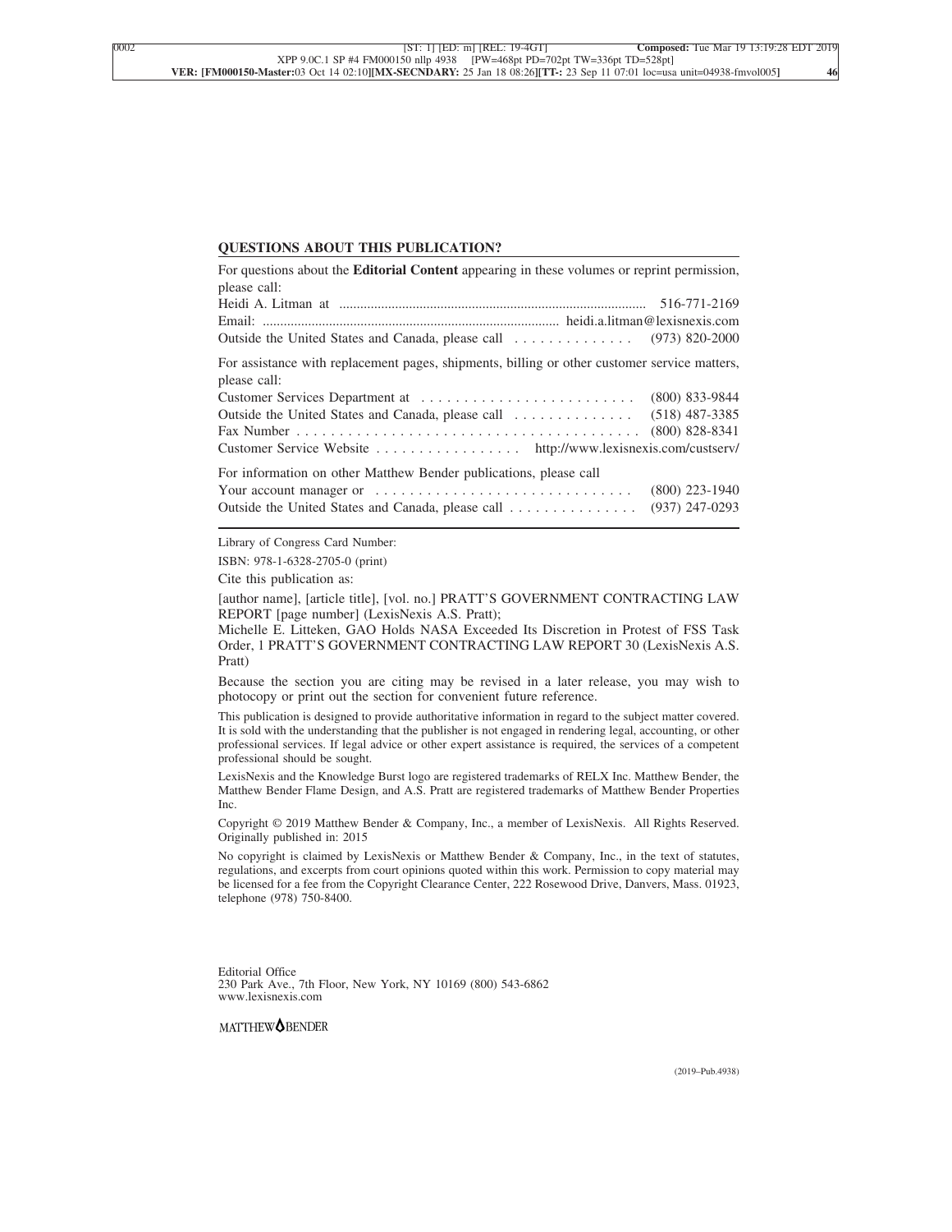#### **QUESTIONS ABOUT THIS PUBLICATION?**

| For questions about the <b>Editorial Content</b> appearing in these volumes or reprint permission,           |                  |
|--------------------------------------------------------------------------------------------------------------|------------------|
| please call:                                                                                                 |                  |
|                                                                                                              |                  |
|                                                                                                              |                  |
|                                                                                                              |                  |
| For assistance with replacement pages, shipments, billing or other customer service matters,<br>please call: |                  |
|                                                                                                              |                  |
|                                                                                                              |                  |
|                                                                                                              |                  |
| Customer Service Website http://www.lexisnexis.com/custserv/                                                 |                  |
| For information on other Matthew Bender publications, please call                                            |                  |
|                                                                                                              | $(800)$ 223-1940 |
| Outside the United States and Canada, please call                                                            | $(937)$ 247-0293 |

Library of Congress Card Number:

ISBN: 978-1-6328-2705-0 (print)

Cite this publication as:

[author name], [article title], [vol. no.] PRATT'S GOVERNMENT CONTRACTING LAW REPORT [page number] (LexisNexis A.S. Pratt);

Michelle E. Litteken, GAO Holds NASA Exceeded Its Discretion in Protest of FSS Task Order, 1 PRATT'S GOVERNMENT CONTRACTING LAW REPORT 30 (LexisNexis A.S. Pratt)

Because the section you are citing may be revised in a later release, you may wish to photocopy or print out the section for convenient future reference.

This publication is designed to provide authoritative information in regard to the subject matter covered. It is sold with the understanding that the publisher is not engaged in rendering legal, accounting, or other professional services. If legal advice or other expert assistance is required, the services of a competent professional should be sought.

LexisNexis and the Knowledge Burst logo are registered trademarks of RELX Inc. Matthew Bender, the Matthew Bender Flame Design, and A.S. Pratt are registered trademarks of Matthew Bender Properties Inc.

Copyright © 2019 Matthew Bender & Company, Inc., a member of LexisNexis. All Rights Reserved. Originally published in: 2015

No copyright is claimed by LexisNexis or Matthew Bender & Company, Inc., in the text of statutes, regulations, and excerpts from court opinions quoted within this work. Permission to copy material may be licensed for a fee from the Copyright Clearance Center, 222 Rosewood Drive, Danvers, Mass. 01923, telephone (978) 750-8400.

Editorial Office 230 Park Ave., 7th Floor, New York, NY 10169 (800) 543-6862 www.lexisnexis.com

MATTHEW<sup>OBENDER</sup>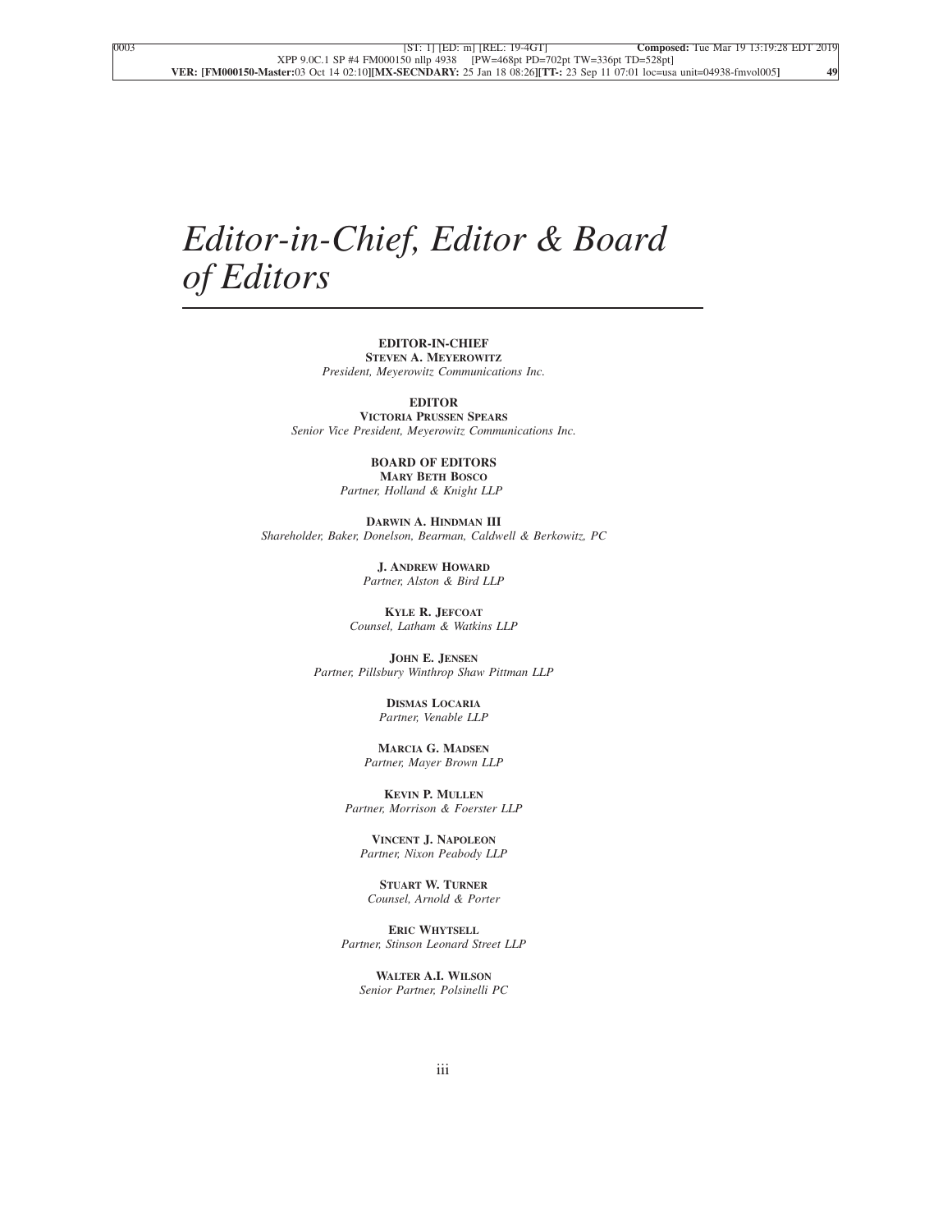### *Editor-in-Chief, Editor & Board of Editors*

#### **EDITOR-IN-CHIEF STEVEN A. MEYEROWITZ**

*President, Meyerowitz Communications Inc.*

**EDITOR**

**VICTORIA PRUSSEN SPEARS** *Senior Vice President, Meyerowitz Communications Inc.*

#### **BOARD OF EDITORS MARY BETH BOSCO**

*Partner, Holland & Knight LLP*

**DARWIN A. HINDMAN III** *Shareholder, Baker, Donelson, Bearman, Caldwell & Berkowitz, PC*

> **J. ANDREW HOWARD** *Partner, Alston & Bird LLP*

**KYLE R. JEFCOAT** *Counsel, Latham & Watkins LLP*

**JOHN E. JENSEN** *Partner, Pillsbury Winthrop Shaw Pittman LLP*

> **DISMAS LOCARIA** *Partner, Venable LLP*

**MARCIA G. MADSEN** *Partner, Mayer Brown LLP*

**KEVIN P. MULLEN** *Partner, Morrison & Foerster LLP*

**VINCENT J. NAPOLEON** *Partner, Nixon Peabody LLP*

**STUART W. TURNER** *Counsel, Arnold & Porter*

**ERIC WHYTSELL** *Partner, Stinson Leonard Street LLP*

**WALTER A.I. WILSON** *Senior Partner, Polsinelli PC*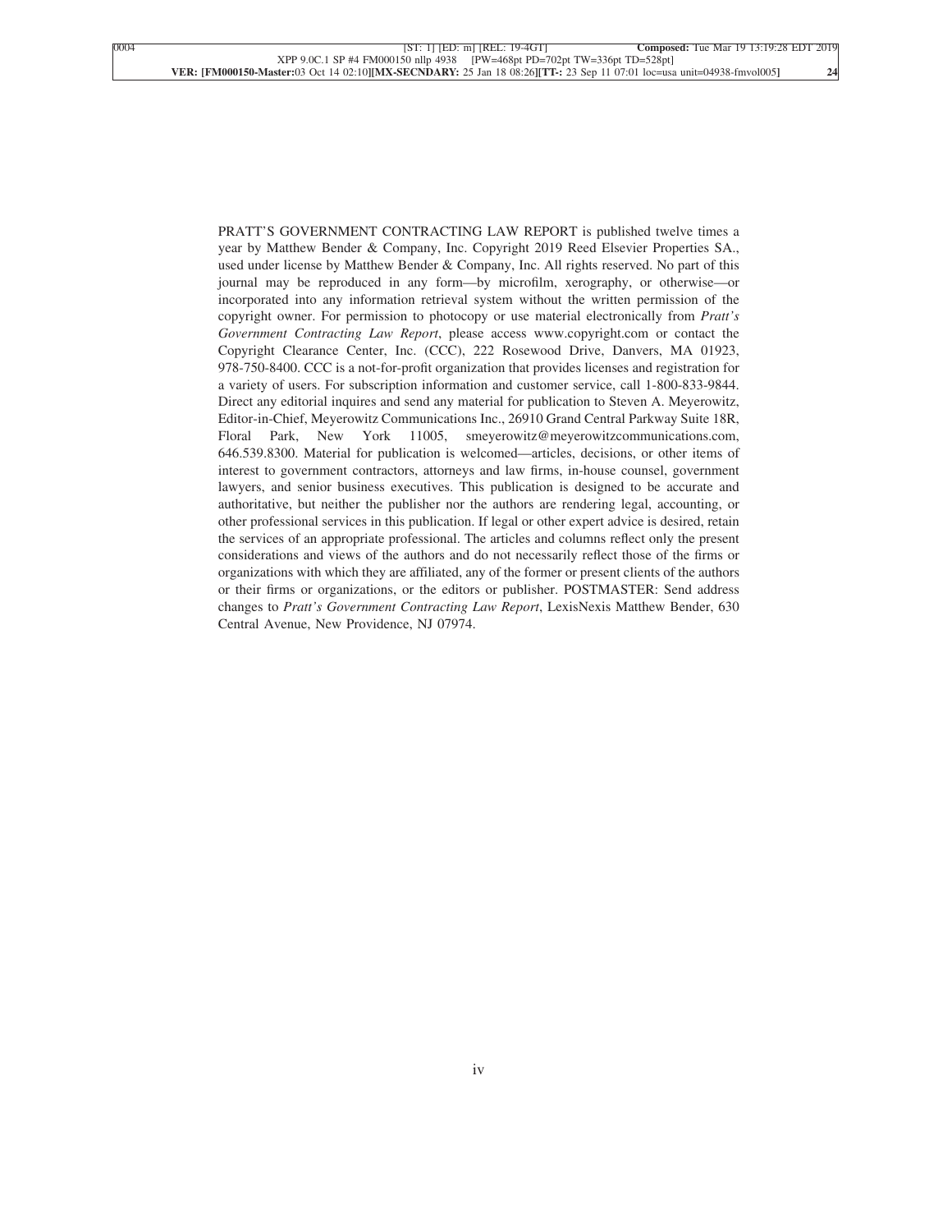PRATT'S GOVERNMENT CONTRACTING LAW REPORT is published twelve times a year by Matthew Bender & Company, Inc. Copyright 2019 Reed Elsevier Properties SA., used under license by Matthew Bender & Company, Inc. All rights reserved. No part of this journal may be reproduced in any form—by microfilm, xerography, or otherwise—or incorporated into any information retrieval system without the written permission of the copyright owner. For permission to photocopy or use material electronically from *Pratt's Government Contracting Law Report*, please access www.copyright.com or contact the Copyright Clearance Center, Inc. (CCC), 222 Rosewood Drive, Danvers, MA 01923, 978-750-8400. CCC is a not-for-profit organization that provides licenses and registration for a variety of users. For subscription information and customer service, call 1-800-833-9844. Direct any editorial inquires and send any material for publication to Steven A. Meyerowitz, Editor-in-Chief, Meyerowitz Communications Inc., 26910 Grand Central Parkway Suite 18R, Floral Park, New York 11005, smeyerowitz@meyerowitzcommunications.com, 646.539.8300. Material for publication is welcomed—articles, decisions, or other items of interest to government contractors, attorneys and law firms, in-house counsel, government lawyers, and senior business executives. This publication is designed to be accurate and authoritative, but neither the publisher nor the authors are rendering legal, accounting, or other professional services in this publication. If legal or other expert advice is desired, retain the services of an appropriate professional. The articles and columns reflect only the present considerations and views of the authors and do not necessarily reflect those of the firms or organizations with which they are affiliated, any of the former or present clients of the authors or their firms or organizations, or the editors or publisher. POSTMASTER: Send address changes to *Pratt's Government Contracting Law Report*, LexisNexis Matthew Bender, 630 Central Avenue, New Providence, NJ 07974.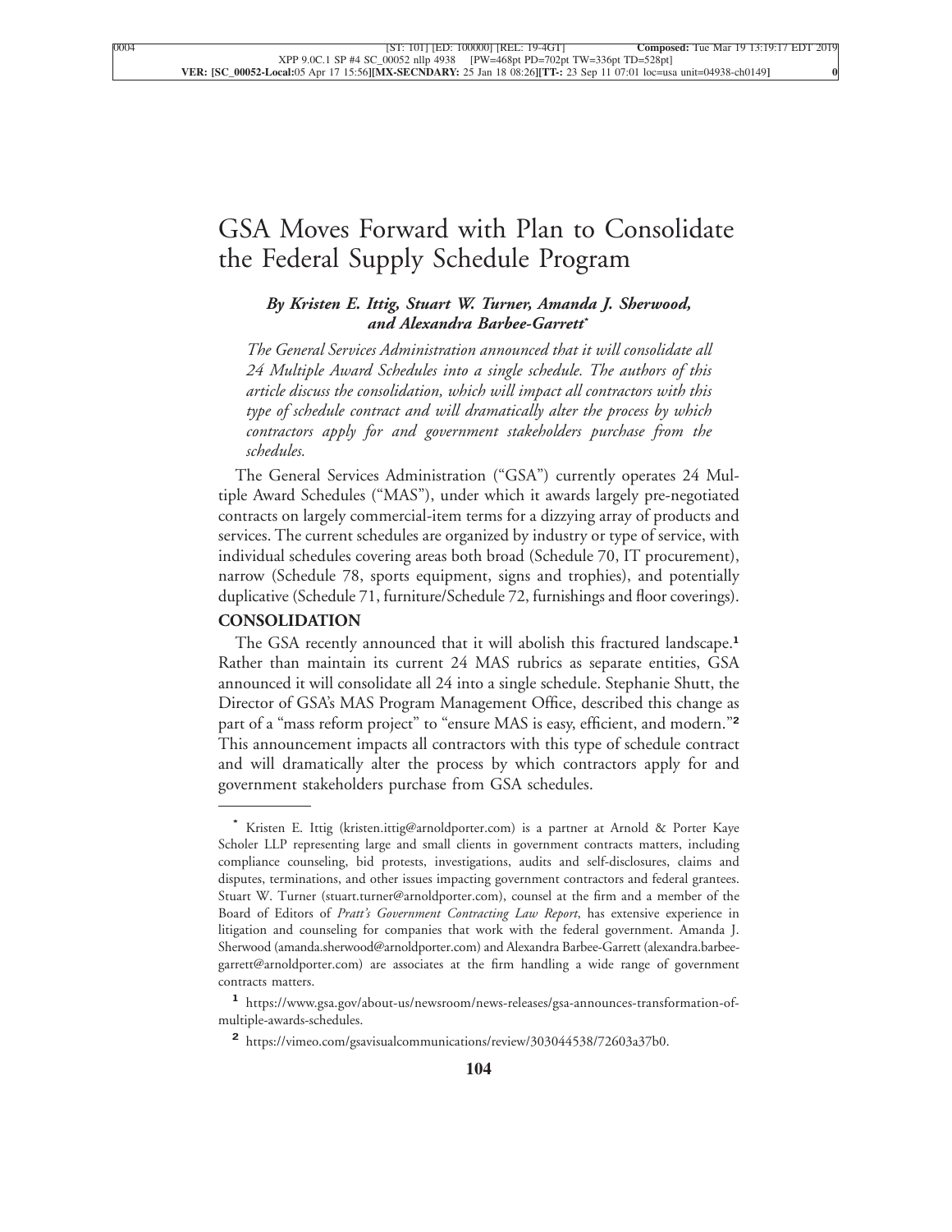### [GSA Moves Forward with Plan to Consolidate](xpath-> core:title,  tr:secmain/core:title,  desig_title,  style_01) [the Federal Supply Schedule Program](xpath-> core:title,  tr:secmain/core:title,  desig_title,  style_01)

#### *[By Kristen E. Ittig, Stuart W. Turner, Amanda J. Sherwood,](xpath-> core:byline,  core:byline,  byline,  style_01) and [Alexandra Barbee-Garrett](xpath-> core:byline,  core:byline,  byline,  style_01)***\***

*[The General Services Administration announced that it will consolidate all](xpath-> core:blockquote-para,  Default,  blockquote,  style_02) [24 Multiple Award Schedules into a single schedule. The authors of this](xpath-> core:blockquote-para,  Default,  blockquote,  style_02) [article discuss the consolidation, which will impact all contractors with this](xpath-> core:blockquote-para,  Default,  blockquote,  style_02) [type of schedule contract and will dramatically alter the process by which](xpath-> core:blockquote-para,  Default,  blockquote,  style_02) [contractors apply for and government stakeholders purchase from the](xpath-> core:blockquote-para,  Default,  blockquote,  style_02) [schedules.](xpath-> core:blockquote-para,  Default,  blockquote,  style_02)*

[The General Services Administration \("GSA"\) currently operates 24 Mul](xpath-> core:para,  Default,  para-list,  style_01)[tiple Award Schedules \("MAS"\), under which it awards largely pre-negotiated](xpath-> core:para,  Default,  para-list,  style_01) [contracts on largely commercial-item terms for a dizzying array of products and](xpath-> core:para,  Default,  para-list,  style_01) [services. The current schedules are organized by industry or type of service, with](xpath-> core:para,  Default,  para-list,  style_01) [individual schedules covering areas both broad \(Schedule 70, IT procurement\),](xpath-> core:para,  Default,  para-list,  style_01) [narrow \(Schedule 78, sports equipment, signs and trophies\), and potentially](xpath-> core:para,  Default,  para-list,  style_01) [duplicative \(Schedule 71, furniture/Schedule 72, furnishings and floor coverings\).](xpath-> core:para,  Default,  para-list,  style_01)

#### **[CONSOLIDATION](xpath-> core:generic-hd,  Default,  core_generic_hd,  style_01)**

[The GSA recently announced that it will abolish this fractured landscape.](xpath-> core:para,  Default,  para-list,  style_01)**<sup>1</sup>** [Rather than maintain its current 24 MAS rubrics as separate entities, GSA](xpath-> core:para,  Default,  para-list,  style_01) [announced it will consolidate all 24 into a single schedule. Stephanie Shutt, the](xpath-> core:para,  Default,  para-list,  style_01) [Director of GSA's MAS Program Management Office, described this change as](xpath-> core:para,  Default,  para-list,  style_01) [part of a "mass reform project" to "ensure MAS is easy, efficient, and modern."](xpath-> core:para,  Default,  para-list,  style_01)**<sup>2</sup>** [This announcement impacts all contractors with this type of schedule contract](xpath-> core:para,  Default,  para-list,  style_01) [and will dramatically alter the process by which contractors apply for and](xpath-> core:para,  Default,  para-list,  style_01) [government stakeholders purchase from GSA schedules.](xpath-> core:para,  Default,  para-list,  style_01)

**<sup>\*</sup>** [Kristen E. Ittig \(kristen.ittig@arnoldporter.com\) is a partner at Arnold & Porter Kaye](xpath-> pnfo:bio-para,  fn:bio-footnote/pnfo:bio-para,  byline,  ) [Scholer LLP representing large and small clients in government contracts matters, including](xpath-> pnfo:bio-para,  fn:bio-footnote/pnfo:bio-para,  byline,  ) [compliance counseling, bid protests, investigations, audits and self-disclosures, claims and](xpath-> pnfo:bio-para,  fn:bio-footnote/pnfo:bio-para,  byline,  ) [disputes, terminations, and other issues impacting government contractors and federal grantees.](xpath-> pnfo:bio-para,  fn:bio-footnote/pnfo:bio-para,  byline,  ) [Stuart W. Turner \(stuart.turner@arnoldporter.com\), counsel at the firm and a member of the](xpath-> pnfo:bio-para,  fn:bio-footnote/pnfo:bio-para,  byline,  ) Board of Editors of *[Pratt's Government Contracting Law Report](xpath-> pnfo:bio-para,  fn:bio-footnote/pnfo:bio-para,  byline,  )*, has extensive experience in [litigation and counseling for companies that work with the federal government. Amanda J.](xpath-> pnfo:bio-para,  fn:bio-footnote/pnfo:bio-para,  byline,  ) [Sherwood \(amanda.sherwood@arnoldporter.com\) and Alexandra Barbee-Garrett \(alexandra.barbee](xpath-> pnfo:bio-para,  fn:bio-footnote/pnfo:bio-para,  byline,  )[garrett@arnoldporter.com\) are associates at the firm handling a wide range of government](xpath-> pnfo:bio-para,  fn:bio-footnote/pnfo:bio-para,  byline,  ) [contracts matters.](xpath-> pnfo:bio-para,  fn:bio-footnote/pnfo:bio-para,  byline,  )

**[<sup>1</sup>](xpath-> fn:para,  fn:footnote/fn:para,  footnote,  style_03)** [https://www.gsa.gov/about-us/newsroom/news-releases/gsa-announces-transformation-of](xpath-> core:url,  core:url,  endmatter,  style_01)[multiple-awards-schedules.](xpath-> core:url,  core:url,  endmatter,  style_01)

**[<sup>2</sup>](xpath-> fn:para,  fn:footnote/fn:para,  footnote,  style_03)** [https://vimeo.com/gsavisualcommunications/review/303044538/72603a37b0.](xpath-> core:url,  core:url,  endmatter,  style_01)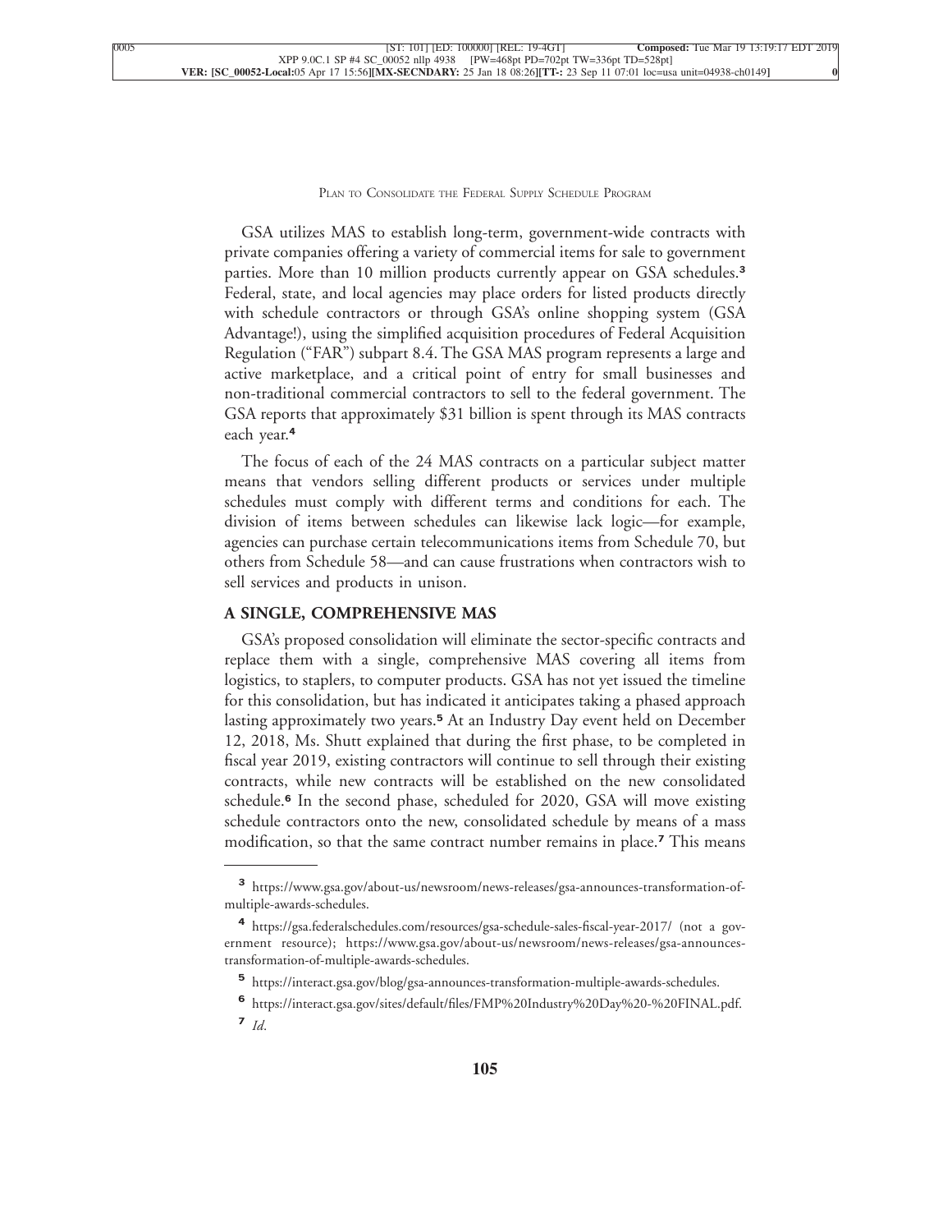[GSA utilizes MAS to establish long-term, government-wide contracts with](xpath-> core:para,  Default,  para-list,  style_01) [private companies offering a variety of commercial items for sale to government](xpath-> core:para,  Default,  para-list,  style_01) [parties. More than 10 million products currently appear on GSA schedules.](xpath-> core:para,  Default,  para-list,  style_01)**<sup>3</sup>** [Federal, state, and local agencies may place orders for listed products directly](xpath-> core:para,  Default,  para-list,  style_01) [with schedule contractors or through GSA's online shopping system \(GSA](xpath-> core:para,  Default,  para-list,  style_01) [Advantage!\), using the simplified acquisition procedures of Federal Acquisition](xpath-> core:para,  Default,  para-list,  style_01) [Regulation \("FAR"\) subpart 8.4. The GSA MAS program represents a large and](xpath-> core:para,  Default,  para-list,  style_01) [active marketplace, and a critical point of entry for small businesses and](xpath-> core:para,  Default,  para-list,  style_01) [non-traditional commercial contractors to sell to the federal government. The](xpath-> core:para,  Default,  para-list,  style_01) [GSA reports that approximately \\$31 billion is spent through its MAS contracts](xpath-> core:para,  Default,  para-list,  style_01) [each year.](xpath-> core:para,  Default,  para-list,  style_01)**<sup>4</sup>**

[The focus of each of the 24 MAS contracts on a particular subject matter](xpath-> core:para,  Default,  para-list,  style_01) [means that vendors selling different products or services under multiple](xpath-> core:para,  Default,  para-list,  style_01) [schedules must comply with different terms and conditions for each. The](xpath-> core:para,  Default,  para-list,  style_01) [division of items between schedules can likewise lack logic—for example,](xpath-> core:para,  Default,  para-list,  style_01) [agencies can purchase certain telecommunications items from Schedule 70, but](xpath-> core:para,  Default,  para-list,  style_01) [others from Schedule 58—and can cause frustrations when contractors wish to](xpath-> core:para,  Default,  para-list,  style_01) [sell services and products in unison.](xpath-> core:para,  Default,  para-list,  style_01)

#### **[A SINGLE, COMPREHENSIVE MAS](xpath-> core:generic-hd,  Default,  core_generic_hd,  style_01)**

[GSA's proposed consolidation will eliminate the sector-specific contracts and](xpath-> core:para,  Default,  para-list,  style_01) [replace them with a single, comprehensive MAS covering all items from](xpath-> core:para,  Default,  para-list,  style_01) [logistics, to staplers, to computer products. GSA has not yet issued the timeline](xpath-> core:para,  Default,  para-list,  style_01) [for this consolidation, but has indicated it anticipates taking a phased approach](xpath-> core:para,  Default,  para-list,  style_01) lasting approximately two years.**<sup>5</sup>** [At an Industry Day event held on December](xpath-> core:para,  Default,  para-list,  style_01) [12, 2018, Ms. Shutt explained that during the first phase, to be completed in](xpath-> core:para,  Default,  para-list,  style_01) [fiscal year 2019, existing contractors will continue to sell through their existing](xpath-> core:para,  Default,  para-list,  style_01) [contracts, while new contracts will be established on the new consolidated](xpath-> core:para,  Default,  para-list,  style_01) schedule.**<sup>6</sup>** [In the second phase, scheduled for 2020, GSA will move existing](xpath-> core:para,  Default,  para-list,  style_01) [schedule contractors onto the new, consolidated schedule by means of a mass](xpath-> core:para,  Default,  para-list,  style_01) [modification, so that the same contract number remains in place.](xpath-> core:para,  Default,  para-list,  style_01)**<sup>7</sup>** This means

**[<sup>3</sup>](xpath-> fn:para,  fn:footnote/fn:para,  footnote,  style_03)** [https://www.gsa.gov/about-us/newsroom/news-releases/gsa-announces-transformation-of](xpath-> core:url,  core:url,  endmatter,  style_01)[multiple-awards-schedules.](xpath-> core:url,  core:url,  endmatter,  style_01)

**[<sup>4</sup>](xpath-> fn:para,  fn:footnote/fn:para,  footnote,  style_03)** [https://gsa.federalschedules.com/resources/gsa-schedule-sales-fiscal-year-2017/](xpath-> core:url,  core:url,  endmatter,  style_01) (not a government resource); [https://www.gsa.gov/about-us/newsroom/news-releases/gsa-announces](xpath-> core:url,  core:url,  endmatter,  style_01)[transformation-of-multiple-awards-schedules.](xpath-> core:url,  core:url,  endmatter,  style_01)

**[<sup>5</sup>](xpath-> fn:para,  fn:footnote/fn:para,  footnote,  style_03)** [https://interact.gsa.gov/blog/gsa-announces-transformation-multiple-awards-schedules.](xpath-> core:url,  core:url,  endmatter,  style_01)

**[<sup>6</sup>](xpath-> fn:para,  fn:footnote/fn:para,  footnote,  style_03)** [https://interact.gsa.gov/sites/default/files/FMP%20Industry%20Day%20-%20FINAL.pdf.](xpath-> core:url,  core:url,  endmatter,  style_01)

**<sup>7</sup>** *[Id](xpath-> fn:para,  fn:footnote/fn:para,  footnote,  style_03)*.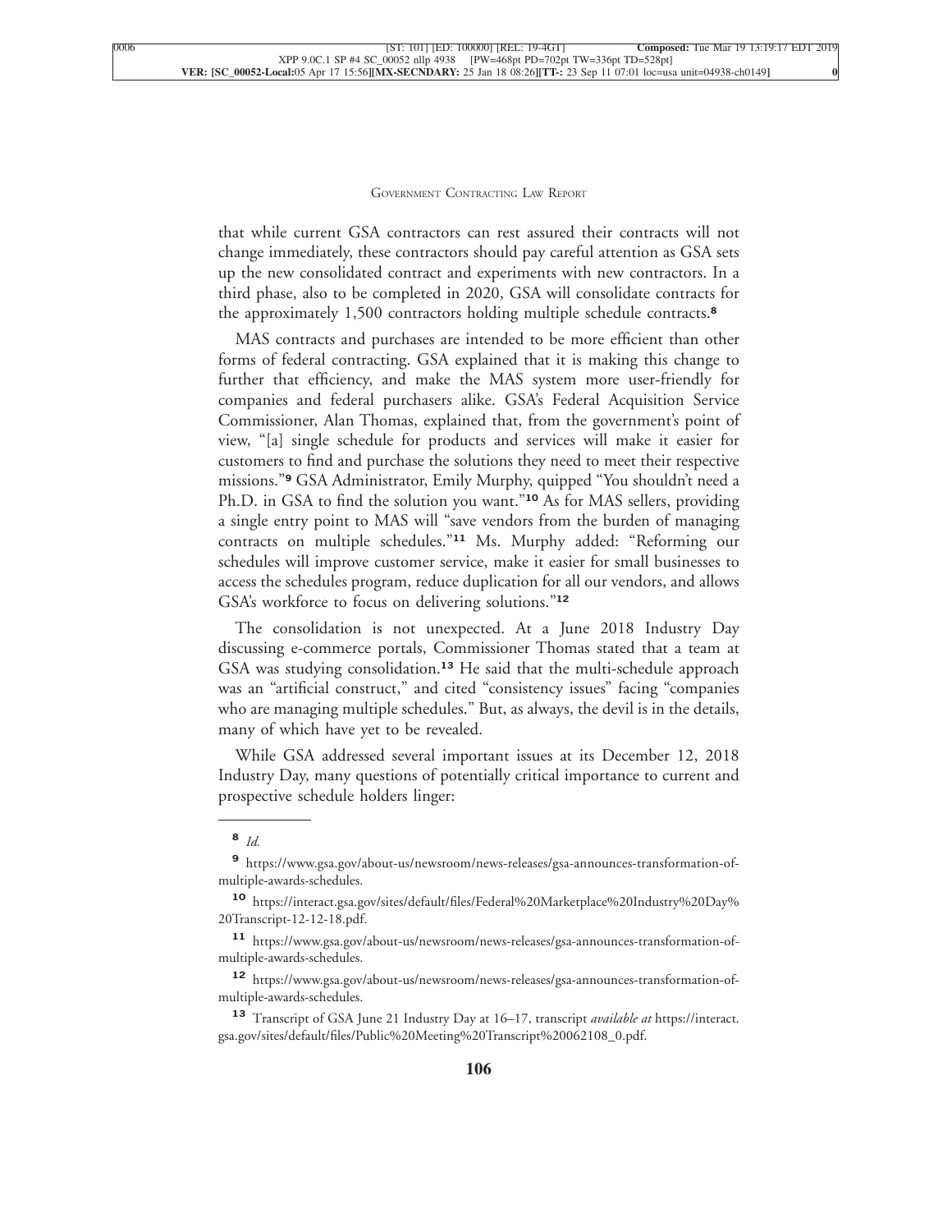that while current GSA contractors can rest assured their contracts will not change immediately, these contractors should pay careful attention as GSA sets up the new consolidated contract and experiments with new contractors. In a third phase, also to be completed in 2020, GSA will consolidate contracts for [the approximately 1,500 contractors holding multiple schedule contracts.](xpath-> core:para,  Default,  para-list,  style_01)**<sup>8</sup>**

[MAS contracts and purchases are intended to be more efficient than other](xpath-> core:para,  Default,  para-list,  style_01) [forms of federal contracting. GSA explained that it is making this change to](xpath-> core:para,  Default,  para-list,  style_01) [further that efficiency, and make the MAS system more user-friendly for](xpath-> core:para,  Default,  para-list,  style_01) [companies and federal purchasers alike. GSA's Federal Acquisition Service](xpath-> core:para,  Default,  para-list,  style_01) [Commissioner, Alan Thomas, explained that, from the government's point of](xpath-> core:para,  Default,  para-list,  style_01) [view, "\[a\] single schedule for products and services will make it easier for](xpath-> core:para,  Default,  para-list,  style_01) [customers to find and purchase the solutions they need to meet their respective](xpath-> core:para,  Default,  para-list,  style_01) missions."**<sup>9</sup>** [GSA Administrator, Emily Murphy, quipped "You shouldn't need a](xpath-> core:para,  Default,  para-list,  style_01) [Ph.D. in GSA to find the solution you want."](xpath-> core:para,  Default,  para-list,  style_01)**<sup>10</sup>** As for MAS sellers, providing [a single entry point to MAS will "save vendors from the burden of managing](xpath-> core:para,  Default,  para-list,  style_01) contracts on multiple schedules."**<sup>11</sup>** [Ms. Murphy added: "Reforming our](xpath-> core:para,  Default,  para-list,  style_01) [schedules will improve customer service, make it easier for small businesses to](xpath-> core:para,  Default,  para-list,  style_01) [access the schedules program, reduce duplication for all our vendors, and allows](xpath-> core:para,  Default,  para-list,  style_01) [GSA's workforce to focus on delivering solutions."](xpath-> core:para,  Default,  para-list,  style_01)**<sup>12</sup>**

[The consolidation is not unexpected. At a June 2018 Industry Day](xpath-> core:para,  Default,  para-list,  style_01) [discussing e-commerce portals, Commissioner Thomas stated that a team at](xpath-> core:para,  Default,  para-list,  style_01) GSA was studying consolidation.**<sup>13</sup>** [He said that the multi-schedule approach](xpath-> core:para,  Default,  para-list,  style_01) [was an "artificial construct," and cited "consistency issues" facing "companies](xpath-> core:para,  Default,  para-list,  style_01) [who are managing multiple schedules." But, as always, the devil is in the details,](xpath-> core:para,  Default,  para-list,  style_01) [many of which have yet to be revealed.](xpath-> core:para,  Default,  para-list,  style_01)

[While GSA addressed several important issues at its December 12, 2018](xpath-> core:para,  Default,  para-list,  style_01) [Industry Day, many questions of potentially critical importance to current and](xpath-> core:para,  Default,  para-list,  style_01) [prospective schedule holders linger:](xpath-> core:para,  Default,  para-list,  style_01)

**<sup>8</sup>** *[Id.](xpath-> fn:para,  fn:footnote/fn:para,  footnote,  style_03)*

**[<sup>9</sup>](xpath-> fn:para,  fn:footnote/fn:para,  footnote,  style_03)** [https://www.gsa.gov/about-us/newsroom/news-releases/gsa-announces-transformation-of](xpath-> core:url,  core:url,  endmatter,  style_01)[multiple-awards-schedules.](xpath-> core:url,  core:url,  endmatter,  style_01)

**[<sup>10</sup>](xpath-> fn:para,  fn:footnote/fn:para,  footnote,  style_03)** [https://interact.gsa.gov/sites/default/files/Federal%20Marketplace%20Industry%20Day%](xpath-> core:url,  core:url,  endmatter,  style_01) [20Transcript-12-12-18.pdf.](xpath-> core:url,  core:url,  endmatter,  style_01)

**[<sup>11</sup>](xpath-> fn:para,  fn:footnote/fn:para,  footnote,  style_03)** [https://www.gsa.gov/about-us/newsroom/news-releases/gsa-announces-transformation-of](xpath-> core:url,  core:url,  endmatter,  style_01)[multiple-awards-schedules.](xpath-> core:url,  core:url,  endmatter,  style_01)

**[<sup>12</sup>](xpath-> fn:para,  fn:footnote/fn:para,  footnote,  style_03)** [https://www.gsa.gov/about-us/newsroom/news-releases/gsa-announces-transformation-of](xpath-> core:url,  core:url,  endmatter,  style_01)[multiple-awards-schedules.](xpath-> core:url,  core:url,  endmatter,  style_01)

**<sup>13</sup>** [Transcript of GSA June 21 Industry Day at 16–17, transcript](xpath-> fn:para,  fn:footnote/fn:para,  footnote,  style_03) *available at* [https://interact.](xpath-> core:url,  core:url,  endmatter,  style_01) [gsa.gov/sites/default/files/Public%20Meeting%20Transcript%20062108\\_0.pdf.](xpath-> core:url,  core:url,  endmatter,  style_01)